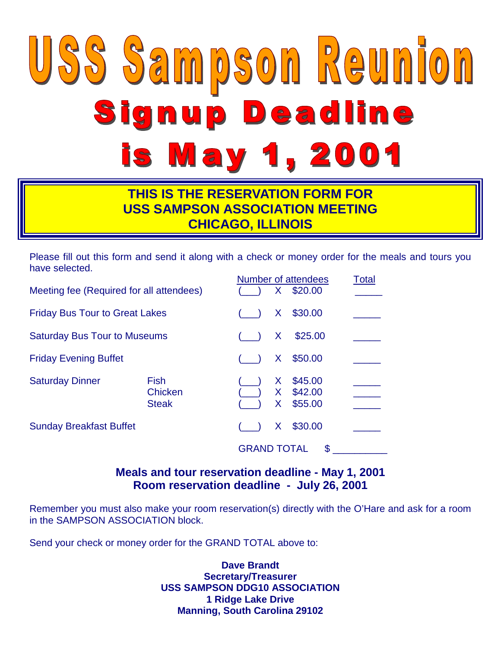# USS Sampson Reunion Signup Deadline is May 1, 2001

#### **THIS IS THE RESERVATION FORM FOR USS SAMPSON ASSOCIATION MEETING CHICAGO, ILLINOIS**

Please fill out this form and send it along with a check or money order for the meals and tours you have selected.

| Meeting fee (Required for all attendees) |                                        |                    | $\mathsf{X}_{-}$              | Number of attendees<br>\$20.00 | Total |
|------------------------------------------|----------------------------------------|--------------------|-------------------------------|--------------------------------|-------|
| <b>Friday Bus Tour to Great Lakes</b>    |                                        |                    | X.                            | \$30.00                        |       |
| <b>Saturday Bus Tour to Museums</b>      |                                        |                    | X                             | \$25.00                        |       |
| <b>Friday Evening Buffet</b>             |                                        |                    | X.                            | \$50.00                        |       |
| <b>Saturday Dinner</b>                   | <b>Fish</b><br>Chicken<br><b>Steak</b> |                    | X.<br>$\mathsf{X}$<br>$\sf X$ | \$45.00<br>\$42.00<br>\$55.00  |       |
| <b>Sunday Breakfast Buffet</b>           |                                        |                    | X.                            | \$30.00                        |       |
|                                          |                                        | <b>GRAND TOTAL</b> |                               | \$                             |       |

**Meals and tour reservation deadline - May 1, 2001 Room reservation deadline - July 26, 2001**

Remember you must also make your room reservation(s) directly with the O'Hare and ask for a room in the SAMPSON ASSOCIATION block.

Send your check or money order for the GRAND TOTAL above to:

**Dave Brandt Secretary/Treasurer USS SAMPSON DDG10 ASSOCIATION 1 Ridge Lake Drive Manning, South Carolina 29102**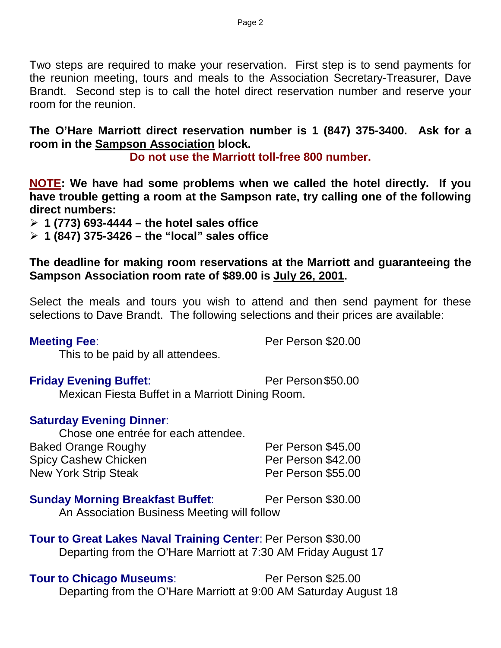Two steps are required to make your reservation. First step is to send payments for the reunion meeting, tours and meals to the Association Secretary-Treasurer, Dave Brandt. Second step is to call the hotel direct reservation number and reserve your room for the reunion.

**The O'Hare Marriott direct reservation number is 1 (847) 375-3400. Ask for a room in the Sampson Association block.**

**Do not use the Marriott toll-free 800 number.**

**NOTE: We have had some problems when we called the hotel directly. If you have trouble getting a room at the Sampson rate, try calling one of the following direct numbers:**

**1 (773) 693-4444 – the hotel sales office**

**1 (847) 375-3426 – the "local" sales office**

**The deadline for making room reservations at the Marriott and guaranteeing the Sampson Association room rate of \$89.00 is July 26, 2001.**

Select the meals and tours you wish to attend and then send payment for these selections to Dave Brandt. The following selections and their prices are available:

**Meeting Fee**: **Per Person \$20.00** 

This to be paid by all attendees.

**Friday Evening Buffet:** Per Person \$50.00

Mexican Fiesta Buffet in a Marriott Dining Room.

#### **Saturday Evening Dinner**:

Chose one entrée for each attendee. Baked Orange Roughy **Per Person \$45.00** Spicy Cashew Chicken **Per Person \$42.00** New York Strip Steak **Per Person \$55.00** 

#### **Sunday Morning Breakfast Buffet:** Per Person \$30.00

An Association Business Meeting will follow

**Tour to Great Lakes Naval Training Center**: Per Person \$30.00 Departing from the O'Hare Marriott at 7:30 AM Friday August 17

#### **Tour to Chicago Museums:** Per Person \$25.00

Departing from the O'Hare Marriott at 9:00 AM Saturday August 18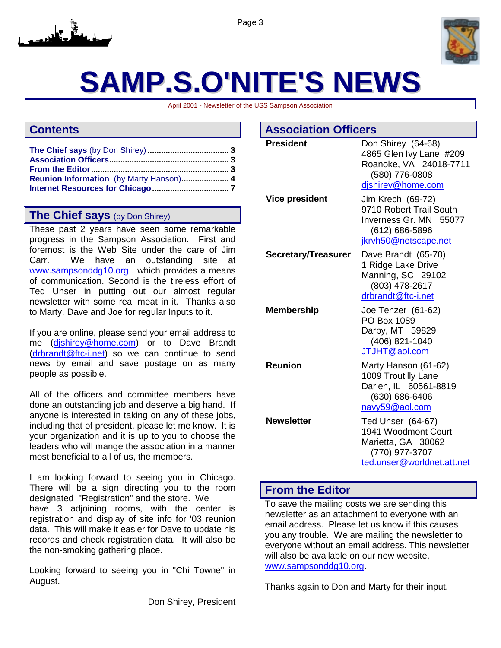



## **SAMP.S.O'NITE'S NEWS**

April 2001 - Newsletter of the USS Sampson Association

#### **Contents**

#### **The Chief says** (by Don Shirey)

These past 2 years have seen some remarkable progress in the Sampson Association. First and foremost is the Web Site under the care of Jim Carr. We have an outstanding site at [www.sampsonddg10.org ,](www.sampsonddg10.org) which provides a means of communication. Second is the tireless effort of Ted Unser in putting out our almost regular newsletter with some real meat in it. Thanks also to Marty, Dave and Joe for regular Inputs to it.

If you are online, please send your email address to me ([djshirey@home.com\)](mailto:djshirey@home.com) or to Dave Brandt ([drbrandt@ftc-i.net\)](mailto:drbrandt@ftc-i.net) so we can continue to send news by email and save postage on as many people as possible.

All of the officers and committee members have done an outstanding job and deserve a big hand. If anyone is interested in taking on any of these jobs, including that of president, please let me know. It is your organization and it is up to you to choose the leaders who will mange the association in a manner most beneficial to all of us, the members.

I am looking forward to seeing you in Chicago. There will be a sign directing you to the room designated "Registration" and the store. We have 3 adjoining rooms, with the center is registration and display of site info for '03 reunion data. This will make it easier for Dave to update his records and check registration data. It will also be the non-smoking gathering place.

Looking forward to seeing you in "Chi Towne" in August.

Don Shirey, President

| <b>Association Officers</b> |                                                                                                                  |  |  |  |
|-----------------------------|------------------------------------------------------------------------------------------------------------------|--|--|--|
| <b>President</b>            | Don Shirey (64-68)<br>4865 Glen Ivy Lane #209<br>Roanoke, VA 24018-7711<br>(580) 776-0808<br>dishirey@home.com   |  |  |  |
| <b>Vice president</b>       | Jim Krech (69-72)<br>9710 Robert Trail South<br>Inverness Gr. MN 55077<br>(612) 686-5896<br>jkrvh50@netscape.net |  |  |  |
| Secretary/Treasurer         | Dave Brandt (65-70)<br>1 Ridge Lake Drive<br>Manning, SC 29102<br>(803) 478-2617<br>drbrandt@ftc-i.net           |  |  |  |
| <b>Membership</b>           | Joe Tenzer (61-62)<br>PO Box 1089<br>Darby, MT 59829<br>(406) 821-1040<br>JTJHT@aol.com                          |  |  |  |
| <b>Reunion</b>              | Marty Hanson (61-62)<br>1009 Troutilly Lane<br>Darien, IL 60561-8819<br>(630) 686-6406<br>navy59@aol.com         |  |  |  |
| <b>Newsletter</b>           | Ted Unser (64-67)<br>1941 Woodmont Court<br>Marietta, GA 30062<br>(770) 977-3707<br>ted.unser@worldnet.att.net   |  |  |  |

#### **From the Editor**

To save the mailing costs we are sending this newsletter as an attachment to everyone with an email address. Please let us know if this causes you any trouble. We are mailing the newsletter to everyone without an email address. This newsletter will also be available on our new website. [www.sampsonddg10.org.](http://www.sampsonddg10.org/)

Thanks again to Don and Marty for their input.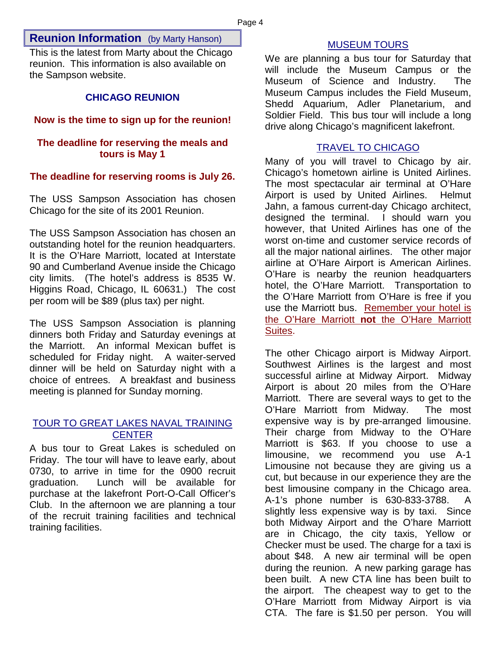#### <span id="page-3-0"></span>**Reunion Information** (by Marty Hanson)

This is the latest from Marty about the Chicago reunion. This information is also available on the Sampson website.

#### **CHICAGO REUNION**

#### **Now is the time to sign up for the reunion!**

#### **The deadline for reserving the meals and tours is May 1**

#### **The deadline for reserving rooms is July 26.**

The USS Sampson Association has chosen Chicago for the site of its 2001 Reunion.

The USS Sampson Association has chosen an outstanding hotel for the reunion headquarters. It is the O'Hare Marriott, located at Interstate 90 and Cumberland Avenue inside the Chicago city limits. (The hotel's address is 8535 W. Higgins Road, Chicago, IL 60631.) The cost per room will be \$89 (plus tax) per night.

The USS Sampson Association is planning dinners both Friday and Saturday evenings at the Marriott. An informal Mexican buffet is scheduled for Friday night. A waiter-served dinner will be held on Saturday night with a choice of entrees. A breakfast and business meeting is planned for Sunday morning.

#### TOUR TO GREAT LAKES NAVAL TRAINING **CENTER**

A bus tour to Great Lakes is scheduled on Friday. The tour will have to leave early, about 0730, to arrive in time for the 0900 recruit graduation. Lunch will be available for purchase at the lakefront Port-O-Call Officer's Club. In the afternoon we are planning a tour of the recruit training facilities and technical training facilities.

#### MUSEUM TOURS

We are planning a bus tour for Saturday that will include the Museum Campus or the Museum of Science and Industry. The Museum Campus includes the Field Museum, Shedd Aquarium, Adler Planetarium, and Soldier Field. This bus tour will include a long drive along Chicago's magnificent lakefront.

#### TRAVEL TO CHICAGO

Many of you will travel to Chicago by air. Chicago's hometown airline is United Airlines. The most spectacular air terminal at O'Hare Airport is used by United Airlines. Helmut Jahn, a famous current-day Chicago architect, designed the terminal. I should warn you however, that United Airlines has one of the worst on-time and customer service records of all the major national airlines. The other major airline at O'Hare Airport is American Airlines. O'Hare is nearby the reunion headquarters hotel, the O'Hare Marriott. Transportation to the O'Hare Marriott from O'Hare is free if you use the Marriott bus. Remember your hotel is the O'Hare Marriott **not** the O'Hare Marriott Suites.

The other Chicago airport is Midway Airport. Southwest Airlines is the largest and most successful airline at Midway Airport. Midway Airport is about 20 miles from the O'Hare Marriott. There are several ways to get to the O'Hare Marriott from Midway. The most expensive way is by pre-arranged limousine. Their charge from Midway to the O'Hare Marriott is \$63. If you choose to use a limousine, we recommend you use A-1 Limousine not because they are giving us a cut, but because in our experience they are the best limousine company in the Chicago area. A-1's phone number is 630-833-3788. A slightly less expensive way is by taxi. Since both Midway Airport and the O'hare Marriott are in Chicago, the city taxis, Yellow or Checker must be used. The charge for a taxi is about \$48. A new air terminal will be open during the reunion. A new parking garage has been built. A new CTA line has been built to the airport. The cheapest way to get to the O'Hare Marriott from Midway Airport is via CTA. The fare is \$1.50 per person. You will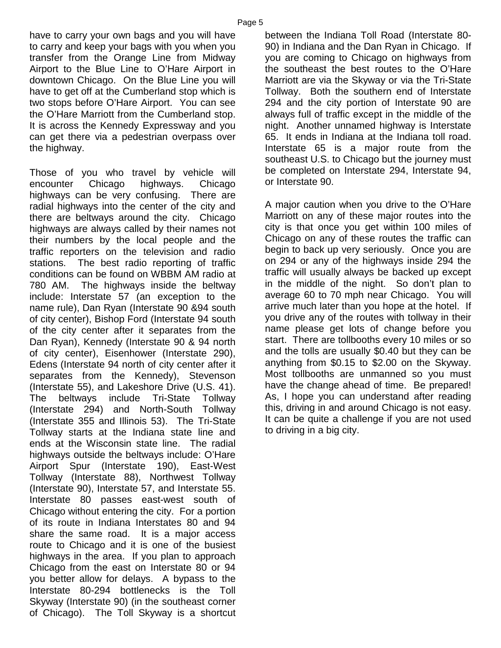have to carry your own bags and you will have to carry and keep your bags with you when you transfer from the Orange Line from Midway Airport to the Blue Line to O'Hare Airport in downtown Chicago. On the Blue Line you will have to get off at the Cumberland stop which is two stops before O'Hare Airport. You can see the O'Hare Marriott from the Cumberland stop. It is across the Kennedy Expressway and you can get there via a pedestrian overpass over the highway.

Those of you who travel by vehicle will encounter Chicago highways. Chicago highways can be very confusing. There are radial highways into the center of the city and there are beltways around the city. Chicago highways are always called by their names not their numbers by the local people and the traffic reporters on the television and radio stations. The best radio reporting of traffic conditions can be found on WBBM AM radio at 780 AM. The highways inside the beltway include: Interstate 57 (an exception to the name rule), Dan Ryan (Interstate 90 &94 south of city center), Bishop Ford (Interstate 94 south of the city center after it separates from the Dan Ryan), Kennedy (Interstate 90 & 94 north of city center), Eisenhower (Interstate 290), Edens (Interstate 94 north of city center after it separates from the Kennedy), Stevenson (Interstate 55), and Lakeshore Drive (U.S. 41). The beltways include Tri-State Tollway (Interstate 294) and North-South Tollway (Interstate 355 and Illinois 53). The Tri-State Tollway starts at the Indiana state line and ends at the Wisconsin state line. The radial highways outside the beltways include: O'Hare Airport Spur (Interstate 190), East-West Tollway (Interstate 88), Northwest Tollway (Interstate 90), Interstate 57, and Interstate 55. Interstate 80 passes east-west south of Chicago without entering the city. For a portion of its route in Indiana Interstates 80 and 94 share the same road. It is a major access route to Chicago and it is one of the busiest highways in the area. If you plan to approach Chicago from the east on Interstate 80 or 94 you better allow for delays. A bypass to the Interstate 80-294 bottlenecks is the Toll Skyway (Interstate 90) (in the southeast corner of Chicago). The Toll Skyway is a shortcut between the Indiana Toll Road (Interstate 80- 90) in Indiana and the Dan Ryan in Chicago. If you are coming to Chicago on highways from the southeast the best routes to the O'Hare Marriott are via the Skyway or via the Tri-State Tollway. Both the southern end of Interstate 294 and the city portion of Interstate 90 are always full of traffic except in the middle of the night. Another unnamed highway is Interstate 65. It ends in Indiana at the Indiana toll road. Interstate 65 is a major route from the southeast U.S. to Chicago but the journey must be completed on Interstate 294, Interstate 94, or Interstate 90.

A major caution when you drive to the O'Hare Marriott on any of these major routes into the city is that once you get within 100 miles of Chicago on any of these routes the traffic can begin to back up very seriously. Once you are on 294 or any of the highways inside 294 the traffic will usually always be backed up except in the middle of the night. So don't plan to average 60 to 70 mph near Chicago. You will arrive much later than you hope at the hotel. If you drive any of the routes with tollway in their name please get lots of change before you start. There are tollbooths every 10 miles or so and the tolls are usually \$0.40 but they can be anything from \$0.15 to \$2.00 on the Skyway. Most tollbooths are unmanned so you must have the change ahead of time. Be prepared! As, I hope you can understand after reading this, driving in and around Chicago is not easy. It can be quite a challenge if you are not used to driving in a big city.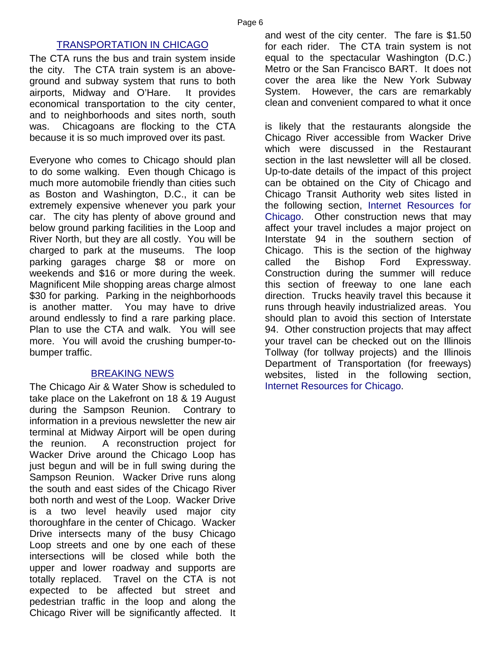#### TRANSPORTATION IN CHICAGO

The CTA runs the bus and train system inside the city. The CTA train system is an aboveground and subway system that runs to both airports, Midway and O'Hare. It provides economical transportation to the city center, and to neighborhoods and sites north, south was. Chicagoans are flocking to the CTA because it is so much improved over its past.

Everyone who comes to Chicago should plan to do some walking. Even though Chicago is much more automobile friendly than cities such as Boston and Washington, D.C., it can be extremely expensive whenever you park your car. The city has plenty of above ground and below ground parking facilities in the Loop and River North, but they are all costly. You will be charged to park at the museums. The loop parking garages charge \$8 or more on weekends and \$16 or more during the week. Magnificent Mile shopping areas charge almost \$30 for parking. Parking in the neighborhoods is another matter. You may have to drive around endlessly to find a rare parking place. Plan to use the CTA and walk. You will see more. You will avoid the crushing bumper-tobumper traffic.

#### BREAKING NEWS

The Chicago Air & Water Show is scheduled to take place on the Lakefront on 18 & 19 August during the Sampson Reunion. Contrary to information in a previous newsletter the new air terminal at Midway Airport will be open during the reunion. A reconstruction project for Wacker Drive around the Chicago Loop has just begun and will be in full swing during the Sampson Reunion. Wacker Drive runs along the south and east sides of the Chicago River both north and west of the Loop. Wacker Drive is a two level heavily used major city thoroughfare in the center of Chicago. Wacker Drive intersects many of the busy Chicago Loop streets and one by one each of these intersections will be closed while both the upper and lower roadway and supports are totally replaced. Travel on the CTA is not expected to be affected but street and pedestrian traffic in the loop and along the Chicago River will be significantly affected. It and west of the city center. The fare is \$1.50 for each rider. The CTA train system is not equal to the spectacular Washington (D.C.) Metro or the San Francisco BART. It does not cover the area like the New York Subway System. However, the cars are remarkably clean and convenient compared to what it once

is likely that the restaurants alongside the Chicago River accessible from Wacker Drive which were discussed in the Restaurant section in the last newsletter will all be closed. Up-to-date details of the impact of this project can be obtained on the City of Chicago and Chicago Transit Authority web sites listed in the following section, [Internet Resources for](#page-6-0) [Chicago.](#page-6-0) Other construction news that may affect your travel includes a major project on Interstate 94 in the southern section of Chicago. This is the section of the highway called the Bishop Ford Expressway. Construction during the summer will reduce this section of freeway to one lane each direction. Trucks heavily travel this because it runs through heavily industrialized areas. You should plan to avoid this section of Interstate 94. Other construction projects that may affect your travel can be checked out on the Illinois Tollway (for tollway projects) and the Illinois Department of Transportation (for freeways) websites, listed in the following section, [Internet Resources for Chicago.](#page-6-0)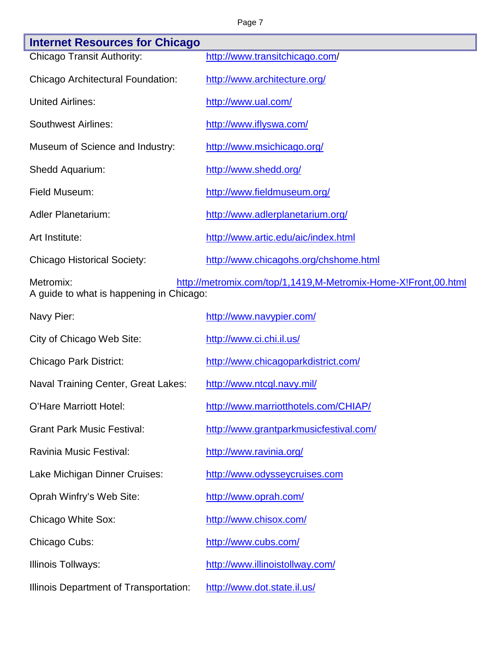#### Page 7

L

<span id="page-6-0"></span>

| <b>Internet Resources for Chicago</b>                                                                                   |                                        |  |  |  |
|-------------------------------------------------------------------------------------------------------------------------|----------------------------------------|--|--|--|
| <b>Chicago Transit Authority:</b>                                                                                       | http://www.transitchicago.com/         |  |  |  |
| Chicago Architectural Foundation:                                                                                       | http://www.architecture.org/           |  |  |  |
| <b>United Airlines:</b>                                                                                                 | http://www.ual.com/                    |  |  |  |
| <b>Southwest Airlines:</b>                                                                                              | http://www.iflyswa.com/                |  |  |  |
| Museum of Science and Industry:                                                                                         | http://www.msichicago.org/             |  |  |  |
| Shedd Aquarium:                                                                                                         | http://www.shedd.org/                  |  |  |  |
| Field Museum:                                                                                                           | http://www.fieldmuseum.org/            |  |  |  |
| Adler Planetarium:                                                                                                      | http://www.adlerplanetarium.org/       |  |  |  |
| Art Institute:                                                                                                          | http://www.artic.edu/aic/index.html    |  |  |  |
| <b>Chicago Historical Society:</b>                                                                                      | http://www.chicagohs.org/chshome.html  |  |  |  |
| http://metromix.com/top/1,1419,M-Metromix-Home-X!Front,00.html<br>Metromix:<br>A guide to what is happening in Chicago: |                                        |  |  |  |
| Navy Pier:                                                                                                              | http://www.navypier.com/               |  |  |  |
| City of Chicago Web Site:                                                                                               | http://www.ci.chi.il.us/               |  |  |  |
| <b>Chicago Park District:</b>                                                                                           | http://www.chicagoparkdistrict.com/    |  |  |  |
| Naval Training Center, Great Lakes:                                                                                     | http://www.ntcgl.navy.mil/             |  |  |  |
| O'Hare Marriott Hotel:                                                                                                  | http://www.marriotthotels.com/CHIAP/   |  |  |  |
| <b>Grant Park Music Festival:</b>                                                                                       | http://www.grantparkmusicfestival.com/ |  |  |  |
| Ravinia Music Festival:                                                                                                 | http://www.ravinia.org/                |  |  |  |
| Lake Michigan Dinner Cruises:                                                                                           | http://www.odysseycruises.com          |  |  |  |
| Oprah Winfry's Web Site:                                                                                                | http://www.oprah.com/                  |  |  |  |
| Chicago White Sox:                                                                                                      | http://www.chisox.com/                 |  |  |  |
| Chicago Cubs:                                                                                                           | http://www.cubs.com/                   |  |  |  |
| Illinois Tollways:                                                                                                      | http://www.illinoistollway.com/        |  |  |  |
| Illinois Department of Transportation:                                                                                  | http://www.dot.state.il.us/            |  |  |  |